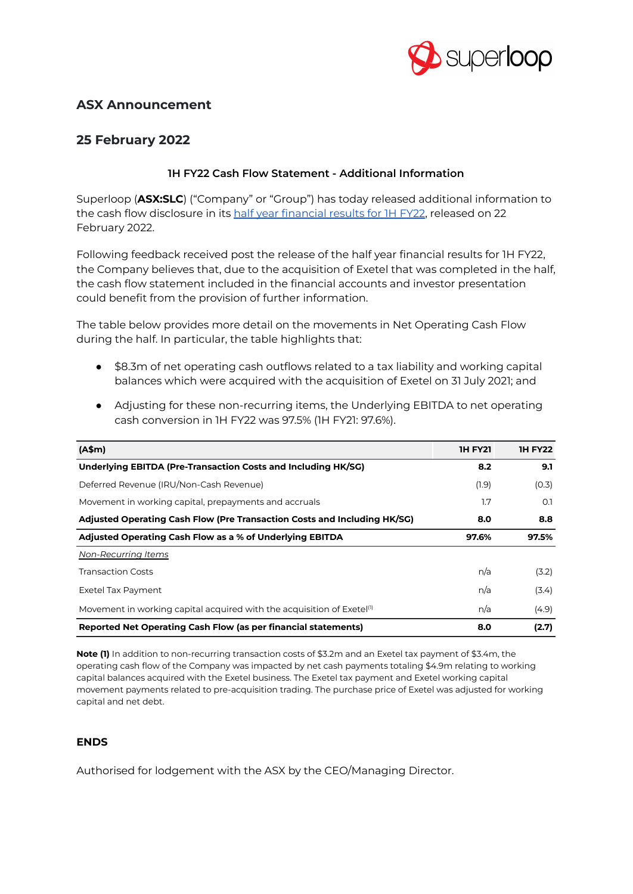

# **ASX Announcement**

## **25 February 2022**

## **1H FY22 Cash Flow Statement - Additional Information**

Superloop (**ASX:SLC**) ("Company" or "Group") has today released additional information to the cash flow disclosure in its half year [financial](https://www.asx.com.au/asxpdf/20220222/pdf/4566vz7q1t7ng3.pdf) results for 1H FY22, released on 22 February 2022.

Following feedback received post the release of the half year financial results for 1H FY22, the Company believes that, due to the acquisition of Exetel that was completed in the half, the cash flow statement included in the financial accounts and investor presentation could benefit from the provision of further information.

The table below provides more detail on the movements in Net Operating Cash Flow during the half. In particular, the table highlights that:

- \$8.3m of net operating cash outflows related to a tax liability and working capital balances which were acquired with the acquisition of Exetel on 31 July 2021; and
- Adjusting for these non-recurring items, the Underlying EBITDA to net operating cash conversion in 1H FY22 was 97.5% (1H FY21: 97.6%).

| (A\$m)                                                                             | <b>IH FY21</b> | <b>IH FY22</b> |
|------------------------------------------------------------------------------------|----------------|----------------|
| Underlying EBITDA (Pre-Transaction Costs and Including HK/SG)                      | 8.2            | 9.1            |
| Deferred Revenue (IRU/Non-Cash Revenue)                                            | (1.9)          | (0.3)          |
| Movement in working capital, prepayments and accruals                              | 1.7            | O.1            |
| Adjusted Operating Cash Flow (Pre Transaction Costs and Including HK/SG)           | 8.0            | 8.8            |
| Adjusted Operating Cash Flow as a % of Underlying EBITDA                           | 97.6%          | 97.5%          |
| Non-Recurring Items                                                                |                |                |
| <b>Transaction Costs</b>                                                           | n/a            | (3.2)          |
| Exetel Tax Payment                                                                 | n/a            | (3.4)          |
| Movement in working capital acquired with the acquisition of Exetel <sup>(1)</sup> | n/a            | (4.9)          |
| Reported Net Operating Cash Flow (as per financial statements)                     | 8.0            | (2.7)          |

**Note (1)** In addition to non-recurring transaction costs of \$3.2m and an Exetel tax payment of \$3.4m, the operating cash flow of the Company was impacted by net cash payments totaling \$4.9m relating to working capital balances acquired with the Exetel business. The Exetel tax payment and Exetel working capital movement payments related to pre-acquisition trading. The purchase price of Exetel was adjusted for working capital and net debt.

#### **ENDS**

Authorised for lodgement with the ASX by the CEO/Managing Director.